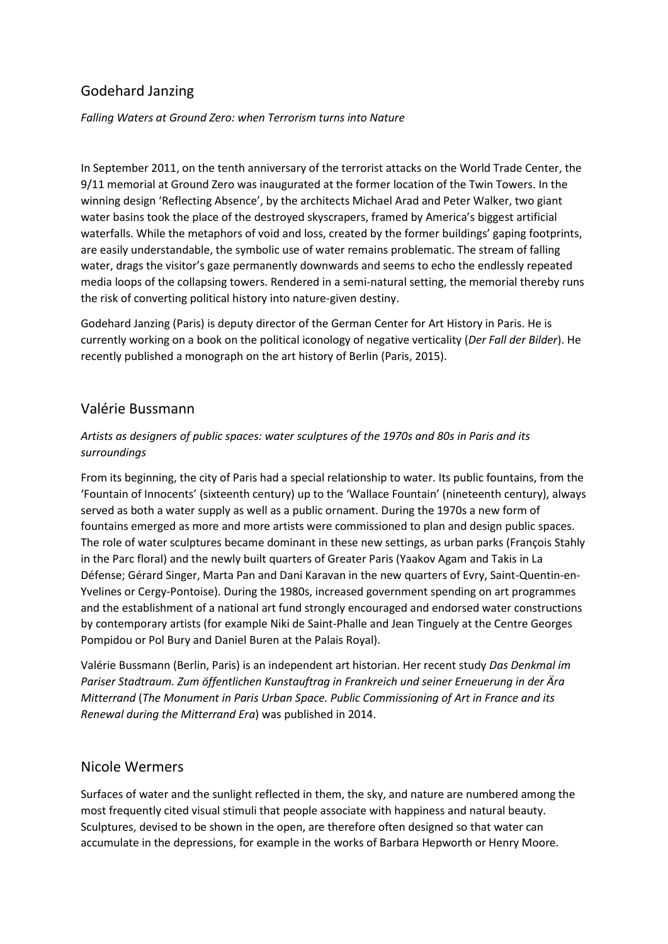# Godehard Janzing

*Falling Waters at Ground Zero: when Terrorism turns into Nature*

In September 2011, on the tenth anniversary of the terrorist attacks on the World Trade Center, the 9/11 memorial at Ground Zero was inaugurated at the former location of the Twin Towers. In the winning design 'Reflecting Absence', by the architects Michael Arad and Peter Walker, two giant water basins took the place of the destroyed skyscrapers, framed by America's biggest artificial waterfalls. While the metaphors of void and loss, created by the former buildings' gaping footprints, are easily understandable, the symbolic use of water remains problematic. The stream of falling water, drags the visitor's gaze permanently downwards and seems to echo the endlessly repeated media loops of the collapsing towers. Rendered in a semi-natural setting, the memorial thereby runs the risk of converting political history into nature-given destiny.

Godehard Janzing (Paris) is deputy director of the German Center for Art History in Paris. He is currently working on a book on the political iconology of negative verticality (*Der Fall der Bilder*). He recently published a monograph on the art history of Berlin (Paris, 2015).

# Valérie Bussmann

#### *Artists as designers of public spaces: water sculptures of the 1970s and 80s in Paris and its surroundings*

From its beginning, the city of Paris had a special relationship to water. Its public fountains, from the 'Fountain of Innocents' (sixteenth century) up to the 'Wallace Fountain' (nineteenth century), always served as both a water supply as well as a public ornament. During the 1970s a new form of fountains emerged as more and more artists were commissioned to plan and design public spaces. The role of water sculptures became dominant in these new settings, as urban parks (François Stahly in the Parc floral) and the newly built quarters of Greater Paris (Yaakov Agam and Takis in La Défense; Gérard Singer, Marta Pan and Dani Karavan in the new quarters of Evry, Saint-Quentin-en-Yvelines or Cergy-Pontoise). During the 1980s, increased government spending on art programmes and the establishment of a national art fund strongly encouraged and endorsed water constructions by contemporary artists (for example Niki de Saint-Phalle and Jean Tinguely at the Centre Georges Pompidou or Pol Bury and Daniel Buren at the Palais Royal).

Valérie Bussmann (Berlin, Paris) is an independent art historian. Her recent study *Das Denkmal im Pariser Stadtraum. Zum öffentlichen Kunstauftrag in Frankreich und seiner Erneuerung in der Ära Mitterrand* (*The Monument in Paris Urban Space. Public Commissioning of Art in France and its Renewal during the Mitterrand Era*) was published in 2014.

### Nicole Wermers

Surfaces of water and the sunlight reflected in them, the sky, and nature are numbered among the most frequently cited visual stimuli that people associate with happiness and natural beauty. Sculptures, devised to be shown in the open, are therefore often designed so that water can accumulate in the depressions, for example in the works of Barbara Hepworth or Henry Moore.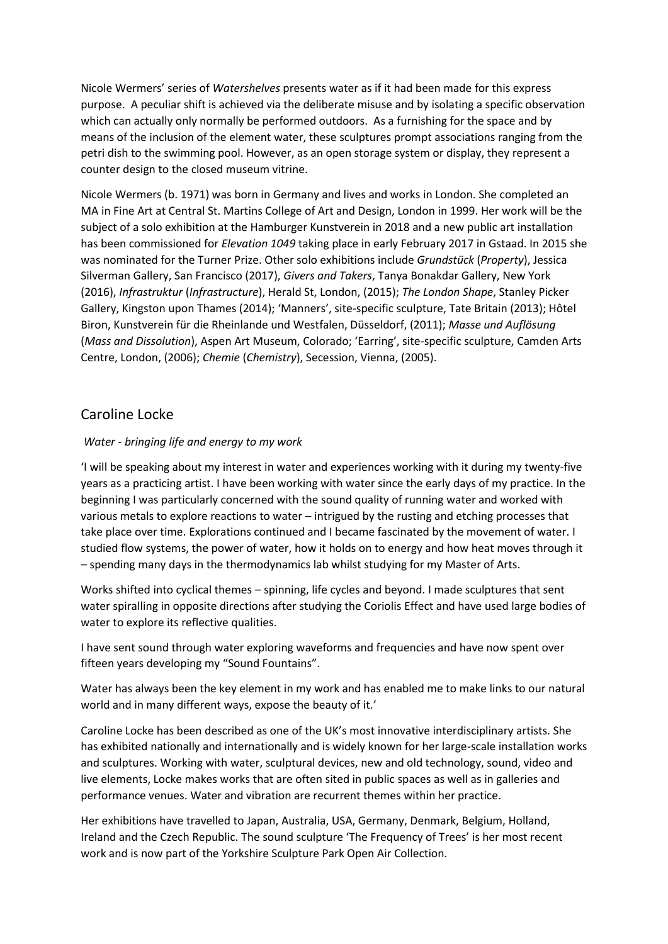Nicole Wermers' series of *Watershelves* presents water as if it had been made for this express purpose. A peculiar shift is achieved via the deliberate misuse and by isolating a specific observation which can actually only normally be performed outdoors. As a furnishing for the space and by means of the inclusion of the element water, these sculptures prompt associations ranging from the petri dish to the swimming pool. However, as an open storage system or display, they represent a counter design to the closed museum vitrine.

Nicole Wermers (b. 1971) was born in Germany and lives and works in London. She completed an MA in Fine Art at Central St. Martins College of Art and Design, London in 1999. Her work will be the subject of a solo exhibition at the Hamburger Kunstverein in 2018 and a new public art installation has been commissioned for *Elevation 1049* taking place in early February 2017 in Gstaad. In 2015 she was nominated for the Turner Prize. Other solo exhibitions include *Grundstück* (*Property*), Jessica Silverman Gallery, San Francisco (2017), *Givers and Takers*, Tanya Bonakdar Gallery, New York (2016), *Infrastruktur* (*Infrastructure*), Herald St, London, (2015); *The London Shape*, Stanley Picker Gallery, Kingston upon Thames (2014); 'Manners', site-specific sculpture, Tate Britain (2013); Hôtel Biron, Kunstverein für die Rheinlande und Westfalen, Düsseldorf, (2011); *Masse und Auflösung* (*Mass and Dissolution*), Aspen Art Museum, Colorado; 'Earring', site-specific sculpture, Camden Arts Centre, London, (2006); *Chemie* (*Chemistry*), Secession, Vienna, (2005).

# Caroline Locke

#### *Water - bringing life and energy to my work*

'I will be speaking about my interest in water and experiences working with it during my twenty-five years as a practicing artist. I have been working with water since the early days of my practice. In the beginning I was particularly concerned with the sound quality of running water and worked with various metals to explore reactions to water – intrigued by the rusting and etching processes that take place over time. Explorations continued and I became fascinated by the movement of water. I studied flow systems, the power of water, how it holds on to energy and how heat moves through it – spending many days in the thermodynamics lab whilst studying for my Master of Arts.

Works shifted into cyclical themes – spinning, life cycles and beyond. I made sculptures that sent water spiralling in opposite directions after studying the Coriolis Effect and have used large bodies of water to explore its reflective qualities.

I have sent sound through water exploring waveforms and frequencies and have now spent over fifteen years developing my "Sound Fountains".

Water has always been the key element in my work and has enabled me to make links to our natural world and in many different ways, expose the beauty of it.'

Caroline Locke has been described as one of the UK's most innovative interdisciplinary artists. She has exhibited nationally and internationally and is widely known for her large-scale installation works and sculptures. Working with water, sculptural devices, new and old technology, sound, video and live elements, Locke makes works that are often sited in public spaces as well as in galleries and performance venues. Water and vibration are recurrent themes within her practice.

Her exhibitions have travelled to Japan, Australia, USA, Germany, Denmark, Belgium, Holland, Ireland and the Czech Republic. The sound sculpture 'The Frequency of Trees' is her most recent work and is now part of the Yorkshire Sculpture Park Open Air Collection.